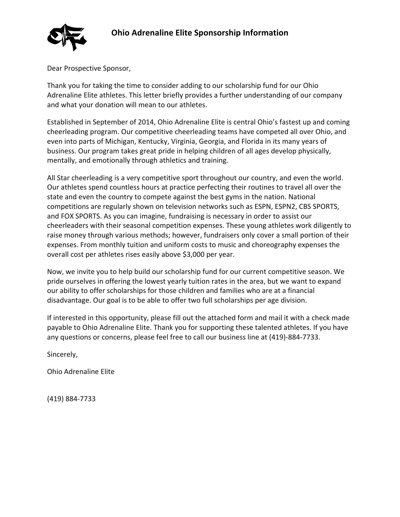## **Ohio Adrenaline Elite Sponsorship Information**



Dear Prospective Sponsor,

Thank you for taking the time to consider adding to our scholarship fund for our Ohio Adrenaline Elite athletes. This letter briefly provides a further understanding of our company and what your donation will mean to our athletes.

Established in September of 2014, Ohio Adrenaline Elite is central Ohio's fastest up and coming cheerleading program. Our competitive cheerleading teams have competed all over Ohio, and even into parts of Michigan, Kentucky, Virginia, Georgia, and Florida in its many years of business. Our program takes great pride in helping children of all ages develop physically, mentally, and emotionally through athletics and training.

All Star cheerleading is a very competitive sport throughout our country, and even the world. Our athletes spend countless hours at practice perfecting their routines to travel all over the state and even the country to compete against the best gyms in the nation. National competitions are regularly shown on television networks such as ESPN, ESPN2, CBS SPORTS, and FOX SPORTS. As you can imagine, fundraising is necessary in order to assist our cheerleaders with their seasonal competition expenses. These young athletes work diligently to raise money through various methods; however, fundraisers only cover a small portion of their expenses. From monthly tuition and uniform costs to music and choreography expenses the overall cost per athletes rises easily above \$3,000 per year.

Now, we invite you to help build our scholarship fund for our current competitive season. We pride ourselves in offering the lowest yearly tuition rates in the area, but we want to expand our ability to offer scholarships for those children and families who are at a financial disadvantage. Our goal is to be able to offer two full scholarships per age division.

If interested in this opportunity, please fill out the attached form and mail it with a check made payable to Ohio Adrenaline Elite. Thank you for supporting these talented athletes. If you have any questions or concerns, please feel free to call our business line at (419)-884-7733.

Sincerely,

Ohio Adrenaline Elite

(419) 884-7733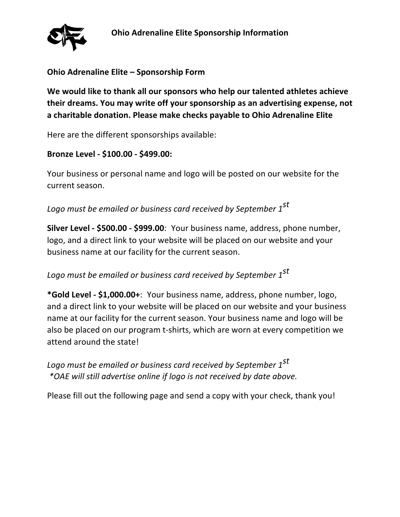

## **Ohio Adrenaline Elite – Sponsorship Form**

**We would like to thank all our sponsors who help our talented athletes achieve their dreams. You may write off your sponsorship as an advertising expense, not a charitable donation. Please make checks payable to Ohio Adrenaline Elite** 

Here are the different sponsorships available:

## **Bronze Level - \$100.00 - \$499.00:**

Your business or personal name and logo will be posted on our website for the current season.

*Logo must be emailed or business card received by September 1st*

**Silver Level - \$500.00 - \$999.00**: Your business name, address, phone number, logo, and a direct link to your website will be placed on our website and your business name at our facility for the current season.

## *Logo must be emailed or business card received by September 1st*

**\*Gold Level - \$1,000.00+**: Your business name, address, phone number, logo, and a direct link to your website will be placed on our website and your business name at our facility for the current season. Your business name and logo will be also be placed on our program t-shirts, which are worn at every competition we attend around the state!

*Logo must be emailed or business card received by September 1st \*OAE will still advertise online if logo is not received by date above.* 

Please fill out the following page and send a copy with your check, thank you!